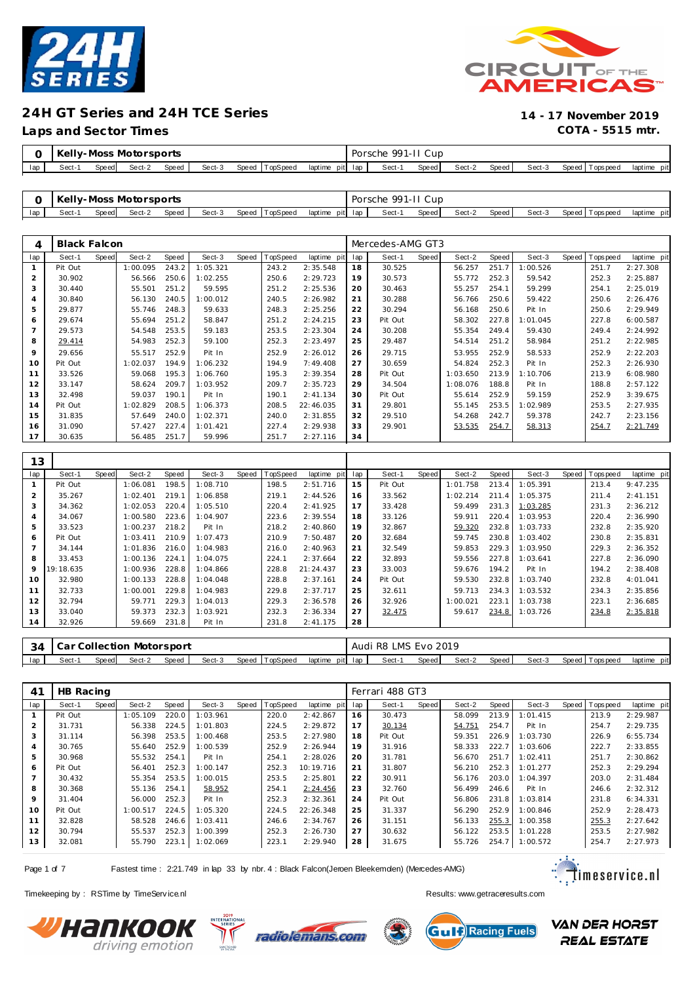



**Laps and Sector Times COTA - 5515 mtr.**

|     |        |              | <b>Kelly-Moss Motorsports</b> |       |        |                |                 | Porsche 991-II Cup |       |        |       |        |                   |             |
|-----|--------|--------------|-------------------------------|-------|--------|----------------|-----------------|--------------------|-------|--------|-------|--------|-------------------|-------------|
| lap | Sect-1 | <b>Speed</b> | Sect-2                        | Speed | Sect-3 | Speed TopSpeed | laptime pit lap | Sect-1             | Speed | Sect-2 | Speed | Sect-3 | Speed   Tops peed | laptime pit |

|     | Kelly-Moss Motorsports |        |        |       |        |                |                 | Porsche 991-II Cup |       |        |       |        |                 |                |
|-----|------------------------|--------|--------|-------|--------|----------------|-----------------|--------------------|-------|--------|-------|--------|-----------------|----------------|
| lap | Sect-                  | Speedl | Sect-2 | Speed | Sect-3 | Speed TopSpeed | laptime pit lap | Sect-1             | Speed | Sect-2 | Speed | Sect-3 | Speed Tops peed | pit<br>laptime |

| 4   | <b>Black Falcon</b> |       |          |       |          |       |                 |             |     | Mercedes-AMG GT3 |       |          |       |          |       |            |             |
|-----|---------------------|-------|----------|-------|----------|-------|-----------------|-------------|-----|------------------|-------|----------|-------|----------|-------|------------|-------------|
| lap | Sect-1              | Speed | Sect-2   | Speed | Sect-3   | Speed | <b>TopSpeed</b> | laptime pit | lap | Sect-1           | Speed | Sect-2   | Speed | Sect-3   | Speed | T ops peed | laptime pit |
|     | Pit Out             |       | 1:00.095 | 243.2 | 1:05.321 |       | 243.2           | 2:35.548    | 18  | 30.525           |       | 56.257   | 251.7 | 1:00.526 |       | 251.7      | 2:27.308    |
| 2   | 30.902              |       | 56.566   | 250.6 | 1:02.255 |       | 250.6           | 2:29.723    | 19  | 30.573           |       | 55.772   | 252.3 | 59.542   |       | 252.3      | 2:25.887    |
| 3   | 30.440              |       | 55.501   | 251.2 | 59.595   |       | 251.2           | 2:25.536    | 20  | 30.463           |       | 55.257   | 254.1 | 59.299   |       | 254.1      | 2:25.019    |
| 4   | 30.840              |       | 56.130   | 240.5 | 1:00.012 |       | 240.5           | 2:26.982    | 21  | 30.288           |       | 56.766   | 250.6 | 59.422   |       | 250.6      | 2:26.476    |
| 5   | 29.877              |       | 55.746   | 248.3 | 59.633   |       | 248.3           | 2:25.256    | 22  | 30.294           |       | 56.168   | 250.6 | Pit In   |       | 250.6      | 2:29.949    |
| 6   | 29.674              |       | 55.694   | 251.2 | 58.847   |       | 251.2           | 2:24.215    | 23  | Pit Out          |       | 58.302   | 227.8 | 1:01.045 |       | 227.8      | 6:00.587    |
|     | 29.573              |       | 54.548   | 253.5 | 59.183   |       | 253.5           | 2:23.304    | 24  | 30.208           |       | 55.354   | 249.4 | 59.430   |       | 249.4      | 2:24.992    |
| 8   | 29.414              |       | 54.983   | 252.3 | 59.100   |       | 252.3           | 2:23.497    | 25  | 29.487           |       | 54.514   | 251.2 | 58.984   |       | 251.2      | 2:22.985    |
| 9   | 29.656              |       | 55.517   | 252.9 | Pit In   |       | 252.9           | 2:26.012    | 26  | 29.715           |       | 53.955   | 252.9 | 58.533   |       | 252.9      | 2:22.203    |
| 10  | Pit Out             |       | 1:02.037 | 194.9 | 1:06.232 |       | 194.9           | 7:49.408    | 27  | 30.659           |       | 54.824   | 252.3 | Pit In   |       | 252.3      | 2:26.930    |
| 11  | 33.526              |       | 59.068   | 195.3 | 1:06.760 |       | 195.3           | 2:39.354    | 28  | Pit Out          |       | 1:03.650 | 213.9 | 1:10.706 |       | 213.9      | 6:08.980    |
| 12  | 33.147              |       | 58.624   | 209.7 | 1:03.952 |       | 209.7           | 2:35.723    | 29  | 34.504           |       | 1:08.076 | 188.8 | Pit In   |       | 188.8      | 2:57.122    |
| 13  | 32.498              |       | 59.037   | 190.1 | Pit In   |       | 190.1           | 2: 41.134   | 30  | Pit Out          |       | 55.614   | 252.9 | 59.159   |       | 252.9      | 3:39.675    |
| 14  | Pit Out             |       | 1:02.829 | 208.5 | 1:06.373 |       | 208.5           | 22:46.035   | 31  | 29.801           |       | 55.145   | 253.5 | 1:02.989 |       | 253.5      | 2:27.935    |
| 15  | 31.835              |       | 57.649   | 240.0 | 1:02.371 |       | 240.0           | 2:31.855    | 32  | 29.510           |       | 54.268   | 242.7 | 59.378   |       | 242.7      | 2:23.156    |
| 16  | 31.090              |       | 57.427   | 227.4 | 1:01.421 |       | 227.4           | 2:29.938    | 33  | 29.901           |       | 53.535   | 254.7 | 58.313   |       | 254.7      | 2:21.749    |
| 17  | 30.635              |       | 56.485   | 251.7 | 59.996   |       | 251.7           | 2:27.116    | 34  |                  |       |          |       |          |       |            |             |

| 13             |           |       |          |       |          |       |          |             |     |         |       |          |       |          |                |             |
|----------------|-----------|-------|----------|-------|----------|-------|----------|-------------|-----|---------|-------|----------|-------|----------|----------------|-------------|
| lap            | Sect-1    | Speed | Sect-2   | Speed | Sect-3   | Speed | TopSpeed | laptime pit | lap | Sect-1  | Speed | Sect-2   | Speed | Sect-3   | Speed Topspeed | laptime pit |
|                | Pit Out   |       | 1:06.081 | 198.5 | 1:08.710 |       | 198.5    | 2:51.716    | 15  | Pit Out |       | 1:01.758 | 213.4 | 1:05.391 | 213.4          | 9:47.235    |
| $\overline{2}$ | 35.267    |       | 1:02.401 | 219.1 | 1:06.858 |       | 219.1    | 2:44.526    | 16  | 33.562  |       | 1:02.214 | 211.4 | 1:05.375 | 211.4          | 2:41.151    |
| 3              | 34.362    |       | 1:02.053 | 220.4 | 1:05.510 |       | 220.4    | 2:41.925    | 17  | 33.428  |       | 59.499   | 231.3 | 1:03.285 | 231.3          | 2:36.212    |
| $\overline{4}$ | 34.067    |       | 1:00.580 | 223.6 | 1:04.907 |       | 223.6    | 2:39.554    | 18  | 33.126  |       | 59.911   | 220.4 | 1:03.953 | 220.4          | 2:36.990    |
| 5              | 33.523    |       | 1:00.237 | 218.2 | Pit In   |       | 218.2    | 2:40.860    | 19  | 32.867  |       | 59.320   | 232.8 | 1:03.733 | 232.8          | 2:35.920    |
| 6              | Pit Out   |       | 1:03.411 | 210.9 | 1:07.473 |       | 210.9    | 7:50.487    | 20  | 32.684  |       | 59.745   | 230.8 | 1:03.402 | 230.8          | 2:35.831    |
| $\overline{7}$ | 34.144    |       | 1:01.836 | 216.0 | 1:04.983 |       | 216.0    | 2:40.963    | 21  | 32.549  |       | 59.853   | 229.3 | 1:03.950 | 229.3          | 2:36.352    |
| 8              | 33.453    |       | 1:00.136 | 224.1 | 1:04.075 |       | 224.1    | 2:37.664    | 22  | 32.893  |       | 59.556   | 227.8 | 1:03.641 | 227.8          | 2:36.090    |
| 9              | 19:18.635 |       | 1:00.936 | 228.8 | 1:04.866 |       | 228.8    | 21:24.437   | 23  | 33.003  |       | 59.676   | 194.2 | Pit In   | 194.2          | 2:38.408    |
| 10             | 32.980    |       | 1:00.133 | 228.8 | 1:04.048 |       | 228.8    | 2:37.161    | 24  | Pit Out |       | 59.530   | 232.8 | 1:03.740 | 232.8          | 4:01.041    |
| 11             | 32.733    |       | 1:00.001 | 229.8 | 1:04.983 |       | 229.8    | 2:37.717    | 25  | 32.611  |       | 59.713   | 234.3 | 1:03.532 | 234.3          | 2:35.856    |
| 12             | 32.794    |       | 59.771   | 229.3 | 1:04.013 |       | 229.3    | 2:36.578    | 26  | 32.926  |       | 1:00.021 | 223.1 | 1:03.738 | 223.1          | 2:36.685    |
| 13             | 33.040    |       | 59.373   | 232.3 | 1:03.921 |       | 232.3    | 2:36.334    | 27  | 32.475  |       | 59.617   | 234.8 | 1:03.726 | 234.8          | 2:35.818    |
| 14             | 32.926    |       | 59.669   | 231.8 | Pit In   |       | 231.8    | 2:41.175    | 28  |         |       |          |       |          |                |             |
|                |           |       |          |       |          |       |          |             |     |         |       |          |       |          |                |             |

| Speed<br>Speed TopSpeed<br>Speed I<br>lap<br>Speed Tops peed<br>laptime pit lap<br>Speed  <br>Sect-1<br>Sect-3<br>Sect-3<br>laptime pit<br>Sect-2<br>Sect-2<br>Speed.<br>Sect-ʻ | 34 |  | l Car Collection Motorsport |  |  | Audi | R8 LMS Evo 2019 |  |  |  |  |
|---------------------------------------------------------------------------------------------------------------------------------------------------------------------------------|----|--|-----------------------------|--|--|------|-----------------|--|--|--|--|
|                                                                                                                                                                                 |    |  |                             |  |  |      |                 |  |  |  |  |

| 41  | HB Racing |       |          |       |          |       |                 |             |     | Ferrari 488 GT3 |       |        |       |          |                   |             |
|-----|-----------|-------|----------|-------|----------|-------|-----------------|-------------|-----|-----------------|-------|--------|-------|----------|-------------------|-------------|
| lap | Sect-1    | Speed | Sect-2   | Speed | Sect-3   | Speed | <b>TopSpeed</b> | laptime pit | lap | Sect-1          | Speed | Sect-2 | Speed | Sect-3   | Speed   Tops peed | laptime pit |
|     | Pit Out   |       | 1:05.109 | 220.0 | : 03.961 |       | 220.0           | 2:42.867    | 16  | 30.473          |       | 58.099 | 213.9 | 1:01.415 | 213.9             | 2:29.987    |
|     | 31.731    |       | 56.338   | 224.5 | 1:01.803 |       | 224.5           | 2:29.872    | 17  | 30.134          |       | 54.751 | 254.7 | Pit In   | 254.7             | 2:29.735    |
|     | 31.114    |       | 56.398   | 253.5 | 1:00.468 |       | 253.5           | 2:27.980    | 18  | Pit Out         |       | 59.351 | 226.9 | 1:03.730 | 226.9             | 6:55.734    |
|     | 30.765    |       | 55.640   | 252.9 | 1:00.539 |       | 252.9           | 2:26.944    | 19  | 31.916          |       | 58.333 | 222.7 | 1:03.606 | 222.7             | 2:33.855    |
| 5   | 30.968    |       | 55.532   | 254.1 | Pit In   |       | 254.1           | 2:28.026    | 20  | 31.781          |       | 56.670 | 251.7 | 1:02.411 | 251.7             | 2:30.862    |
| 6   | Pit Out   |       | 56.401   | 252.3 | 1:00.147 |       | 252.3           | 10:19.716   | 21  | 31.807          |       | 56.210 | 252.3 | 1:01.277 | 252.3             | 2:29.294    |
|     | 30.432    |       | 55.354   | 253.5 | 1:00.015 |       | 253.5           | 2:25.801    | 22  | 30.911          |       | 56.176 | 203.0 | 1:04.397 | 203.0             | 2:31.484    |
| 8   | 30.368    |       | 55.136   | 254.1 | 58.952   |       | 254.1           | 2:24.456    | 23  | 32.760          |       | 56.499 | 246.6 | Pit In   | 246.6             | 2:32.312    |
| 9   | 31.404    |       | 56.000   | 252.3 | Pit In   |       | 252.3           | 2:32.361    | 24  | Pit Out         |       | 56.806 | 231.8 | 1:03.814 | 231.8             | 6:34.331    |
| 10  | Pit Out   |       | 1:00.517 | 224.5 | 1:05.320 |       | 224.5           | 22:26.348   | 25  | 31.337          |       | 56.290 | 252.9 | 1:00.846 | 252.9             | 2:28.473    |
| 11  | 32.828    |       | 58.528   | 246.6 | 1:03.411 |       | 246.6           | 2:34.767    | 26  | 31.151          |       | 56.133 | 255.3 | 1:00.358 | 255.3             | 2:27.642    |
| 12  | 30.794    |       | 55.537   | 252.3 | 1:00.399 |       | 252.3           | 2:26.730    | 27  | 30.632          |       | 56.122 | 253.5 | 1:01.228 | 253.5             | 2:27.982    |
| 13  | 32.081    |       | 55.790   | 223.1 | 1:02.069 |       | 223.1           | 2:29.940    | 28  | 31.675          |       | 55.726 | 254.7 | 1:00.572 | 254.7             | 2:27.973    |

Page 1 of 7 Fastest time : 2:21.749 in lap 33 by nbr. 4 : Black Falcon(Jeroen Bleekemolen) (Mercedes-AMG)



Timekeeping by : RSTime by TimeServ ice.nl **Results:** Wesults:<www.getraceresults.com>







**VAN DER HORST REAL ESTATE**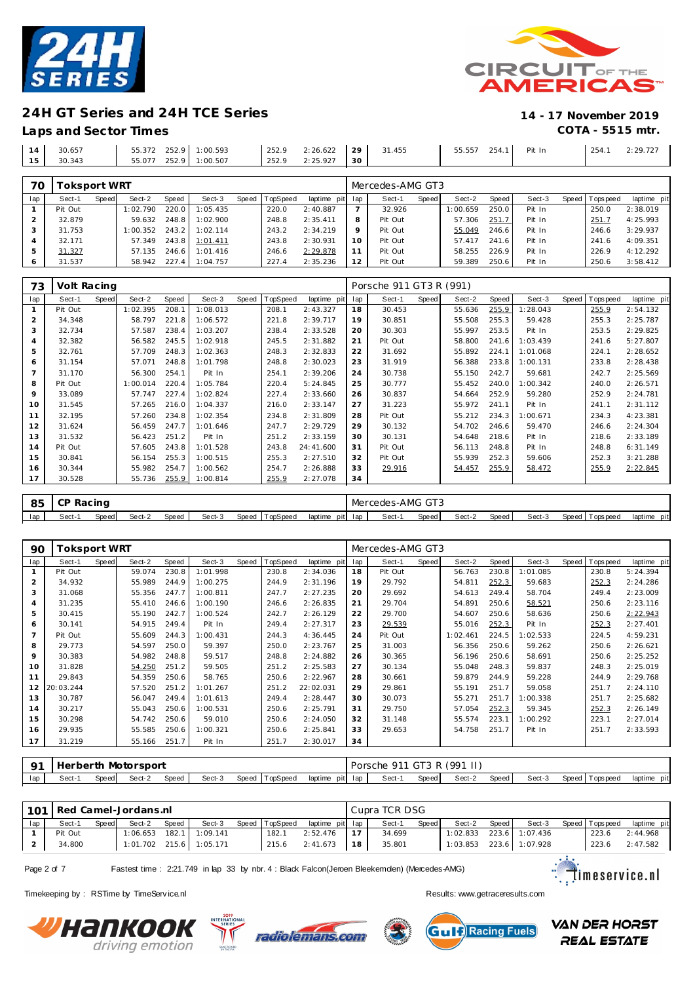

### **Laps and Sector Times COTA - 5515 mtr.**



|    | 30.657 | 252.9<br>1:00.593<br>55.372 | 252.9<br>2:26.622<br>the contract of the contract of | 29<br>31.455 | 55.557<br>254.1 | Pit In | 2:29.727 |
|----|--------|-----------------------------|------------------------------------------------------|--------------|-----------------|--------|----------|
| 15 | 30.343 | 252.9<br>1:00.507<br>55.077 | 2:25.927<br>252.9                                    | 30           |                 |        |          |
|    |        |                             |                                                      |              |                 |        |          |

| 70  | Toksport WRT |       |          |       |          |       |          |                 |          | Mercedes-AMG GT3 |       |          |       |        |                 |             |
|-----|--------------|-------|----------|-------|----------|-------|----------|-----------------|----------|------------------|-------|----------|-------|--------|-----------------|-------------|
| lap | Sect-1       | Speed | Sect-2   | Speed | Sect-3   | Speed | TopSpeed | laptime pit lap |          | Sect-1           | Speed | Sect-2   | Speed | Sect-3 | Speed Tops peed | laptime pit |
|     | Pit Out      |       | 1:02.790 | 220.0 | 1:05.435 |       | 220.0    | 2:40.887        |          | 32.926           |       | 1:00.659 | 250.0 | Pit In | 250.0           | 2:38.019    |
|     | 32.879       |       | 59.632   | 248.8 | 1:02.900 |       | 248.8    | 2:35.411        | 8        | Pit Out          |       | 57.306   | 251.7 | Pit In | 251.7           | 4:25.993    |
|     | 31.753       |       | 1:00.352 | 243.2 | 1:02.114 |       | 243.2    | 2:34.219        | $\circ$  | Pit Out          |       | 55.049   | 246.6 | Pit In | 246.6           | 3:29.937    |
|     | 32.171       |       | 57.349   | 243.8 | 1:01.411 |       | 243.8    | 2:30.931        | $10^{-}$ | Pit Out          |       | 57.417   | 241.6 | Pit In | 241.6           | 4:09.351    |
| 5   | 31.327       |       | 57.135   | 246.6 | 1:01.416 |       | 246.6    | 2:29.878        |          | Pit Out          |       | 58.255   | 226.9 | Pit In | 226.9           | 4:12.292    |
| O   | 31.537       |       | 58.942   | 227.4 | 1:04.757 |       | 227.4    | 2:35.236        | 12       | Pit Out          |       | 59.389   | 250.6 | Pit In | 250.6           | 3:58.412    |

| 73             | Volt Racing |              |          |       |          |       |          |             |     | Porsche 911 GT3 R (991) |       |        |       |          |       |            |             |
|----------------|-------------|--------------|----------|-------|----------|-------|----------|-------------|-----|-------------------------|-------|--------|-------|----------|-------|------------|-------------|
| lap            | Sect-1      | <b>Speed</b> | Sect-2   | Speed | Sect-3   | Speed | TopSpeed | laptime pit | lap | Sect-1                  | Speed | Sect-2 | Speed | Sect-3   | Speed | T ops peed | laptime pit |
| $\mathbf{1}$   | Pit Out     |              | 1:02.395 | 208.1 | 1:08.013 |       | 208.1    | 2:43.327    | 18  | 30.453                  |       | 55.636 | 255.9 | 1:28.043 |       | 255.9      | 2:54.132    |
| 2              | 34.348      |              | 58.797   | 221.8 | 1:06.572 |       | 221.8    | 2:39.717    | 19  | 30.851                  |       | 55.508 | 255.3 | 59.428   |       | 255.3      | 2:25.787    |
| 3              | 32.734      |              | 57.587   | 238.4 | 1:03.207 |       | 238.4    | 2:33.528    | 20  | 30.303                  |       | 55.997 | 253.5 | Pit In   |       | 253.5      | 2:29.825    |
| $\overline{4}$ | 32.382      |              | 56.582   | 245.5 | 1:02.918 |       | 245.5    | 2:31.882    | 21  | Pit Out                 |       | 58.800 | 241.6 | 1:03.439 |       | 241.6      | 5:27.807    |
| 5              | 32.761      |              | 57.709   | 248.3 | 1:02.363 |       | 248.3    | 2:32.833    | 22  | 31.692                  |       | 55.892 | 224.1 | 1:01.068 |       | 224.1      | 2:28.652    |
| 6              | 31.154      |              | 57.071   | 248.8 | 1:01.798 |       | 248.8    | 2:30.023    | 23  | 31.919                  |       | 56.388 | 233.8 | 1:00.131 |       | 233.8      | 2:28.438    |
|                | 31.170      |              | 56.300   | 254.1 | Pit In   |       | 254.1    | 2:39.206    | 24  | 30.738                  |       | 55.150 | 242.7 | 59.681   |       | 242.7      | 2:25.569    |
| 8              | Pit Out     |              | 1:00.014 | 220.4 | 1:05.784 |       | 220.4    | 5:24.845    | 25  | 30.777                  |       | 55.452 | 240.0 | 1:00.342 |       | 240.0      | 2:26.571    |
| 9              | 33.089      |              | 57.747   | 227.4 | 1:02.824 |       | 227.4    | 2:33.660    | 26  | 30.837                  |       | 54.664 | 252.9 | 59.280   |       | 252.9      | 2:24.781    |
| 10             | 31.545      |              | 57.265   | 216.0 | 1:04.337 |       | 216.0    | 2:33.147    | 27  | 31.223                  |       | 55.972 | 241.1 | Pit In   |       | 241.1      | 2:31.112    |
| 11             | 32.195      |              | 57.260   | 234.8 | 1:02.354 |       | 234.8    | 2:31.809    | 28  | Pit Out                 |       | 55.212 | 234.3 | 1:00.671 |       | 234.3      | 4:23.381    |
| 12             | 31.624      |              | 56.459   | 247.7 | 1:01.646 |       | 247.7    | 2:29.729    | 29  | 30.132                  |       | 54.702 | 246.6 | 59.470   |       | 246.6      | 2:24.304    |
| 13             | 31.532      |              | 56.423   | 251.2 | Pit In   |       | 251.2    | 2:33.159    | 30  | 30.131                  |       | 54.648 | 218.6 | Pit In   |       | 218.6      | 2:33.189    |
| 14             | Pit Out     |              | 57.605   | 243.8 | 1:01.528 |       | 243.8    | 24:41.600   | 31  | Pit Out                 |       | 56.113 | 248.8 | Pit In   |       | 248.8      | 6:31.149    |
| 15             | 30.841      |              | 56.154   | 255.3 | 1:00.515 |       | 255.3    | 2:27.510    | 32  | Pit Out                 |       | 55.939 | 252.3 | 59.606   |       | 252.3      | 3:21.288    |
| 16             | 30.344      |              | 55.982   | 254.7 | 1:00.562 |       | 254.7    | 2:26.888    | 33  | 29.916                  |       | 54.457 | 255.9 | 58.472   |       | 255.9      | 2:22.845    |
| 17             | 30.528      |              | 55.736   | 255.9 | 1:00.814 |       | 255.9    | 2:27.078    | 34  |                         |       |        |       |          |       |            |             |
|                |             |              |          |       |          |       |          |             |     |                         |       |        |       |          |       |            |             |

| 85  | $\sim$<br>. CP | Racing |        |       |        |                |                 | Mercedes-AMG GT3 |       |        |       |        |                   |             |
|-----|----------------|--------|--------|-------|--------|----------------|-----------------|------------------|-------|--------|-------|--------|-------------------|-------------|
| lap | Sect-          | Speed  | Sect-2 | Speed | Sect-3 | Speed TopSpeed | laptime pit lap | Sect-1           | Speed | Sect-2 | Speed | Sect-3 | Speed   Tops peed | laptime pit |

| 90  | Toksport WRT |       |        |       |          |       |                 |             |     | Mercedes-AMG GT3 |       |          |       |          |       |             |             |
|-----|--------------|-------|--------|-------|----------|-------|-----------------|-------------|-----|------------------|-------|----------|-------|----------|-------|-------------|-------------|
| lap | Sect-1       | Speed | Sect-2 | Speed | Sect-3   | Speed | <b>TopSpeed</b> | laptime pit | lap | Sect-1           | Speed | Sect-2   | Speed | Sect-3   | Speed | T ops pee d | laptime pit |
|     | Pit Out      |       | 59.074 | 230.8 | 1:01.998 |       | 230.8           | 2:34.036    | 18  | Pit Out          |       | 56.763   | 230.8 | 1:01.085 |       | 230.8       | 5:24.394    |
| 2   | 34.932       |       | 55.989 | 244.9 | 1:00.275 |       | 244.9           | 2:31.196    | 19  | 29.792           |       | 54.811   | 252.3 | 59.683   |       | 252.3       | 2:24.286    |
| 3   | 31.068       |       | 55.356 | 247.7 | 1:00.811 |       | 247.7           | 2:27.235    | 20  | 29.692           |       | 54.613   | 249.4 | 58.704   |       | 249.4       | 2:23.009    |
| 4   | 31.235       |       | 55.410 | 246.6 | 1:00.190 |       | 246.6           | 2:26.835    | 21  | 29.704           |       | 54.891   | 250.6 | 58.521   |       | 250.6       | 2:23.116    |
| 5   | 30.415       |       | 55.190 | 242.7 | 1:00.524 |       | 242.7           | 2:26.129    | 22  | 29.700           |       | 54.607   | 250.6 | 58.636   |       | 250.6       | 2:22.943    |
| 6   | 30.141       |       | 54.915 | 249.4 | Pit In   |       | 249.4           | 2:27.317    | 23  | 29.539           |       | 55.016   | 252.3 | Pit In   |       | 252.3       | 2:27.401    |
|     | Pit Out      |       | 55.609 | 244.3 | 1:00.431 |       | 244.3           | 4:36.445    | 24  | Pit Out          |       | 1:02.461 | 224.5 | 1:02.533 |       | 224.5       | 4:59.231    |
| 8   | 29.773       |       | 54.597 | 250.0 | 59.397   |       | 250.0           | 2:23.767    | 25  | 31.003           |       | 56.356   | 250.6 | 59.262   |       | 250.6       | 2:26.621    |
| 9   | 30.383       |       | 54.982 | 248.8 | 59.517   |       | 248.8           | 2:24.882    | 26  | 30.365           |       | 56.196   | 250.6 | 58.691   |       | 250.6       | 2:25.252    |
| 10  | 31.828       |       | 54.250 | 251.2 | 59.505   |       | 251.2           | 2:25.583    | 27  | 30.134           |       | 55.048   | 248.3 | 59.837   |       | 248.3       | 2:25.019    |
| 11  | 29.843       |       | 54.359 | 250.6 | 58.765   |       | 250.6           | 2:22.967    | 28  | 30.661           |       | 59.879   | 244.9 | 59.228   |       | 244.9       | 2:29.768    |
| 12  | 20:03.244    |       | 57.520 | 251.2 | 1:01.267 |       | 251.2           | 22:02.031   | 29  | 29.861           |       | 55.191   | 251.7 | 59.058   |       | 251.7       | 2:24.110    |
| 13  | 30.787       |       | 56.047 | 249.4 | 1:01.613 |       | 249.4           | 2:28.447    | 30  | 30.073           |       | 55.271   | 251.7 | 1:00.338 |       | 251.7       | 2:25.682    |
| 14  | 30.217       |       | 55.043 | 250.6 | 1:00.531 |       | 250.6           | 2:25.791    | 31  | 29.750           |       | 57.054   | 252.3 | 59.345   |       | 252.3       | 2:26.149    |
| 15  | 30.298       |       | 54.742 | 250.6 | 59.010   |       | 250.6           | 2:24.050    | 32  | 31.148           |       | 55.574   | 223.1 | 1:00.292 |       | 223.1       | 2:27.014    |
| 16  | 29.935       |       | 55.585 | 250.6 | 1:00.321 |       | 250.6           | 2:25.841    | 33  | 29.653           |       | 54.758   | 251.7 | Pit In   |       | 251.7       | 2:33.593    |
| 17  | 31.219       |       | 55.166 | 251.7 | Pit In   |       | 251.7           | 2:30.017    | 34  |                  |       |          |       |          |       |             |             |

| $\Omega$ 1 | l Herberth Motorsport |       |        |       |        |                |                 | Porsche |       | 911 GT3 R (991 II) |       |        |                   |                |
|------------|-----------------------|-------|--------|-------|--------|----------------|-----------------|---------|-------|--------------------|-------|--------|-------------------|----------------|
| lap        | Sect-'                | Speed | Sect-2 | Speed | Sect-3 | Speed TopSpeed | laptime pit lap | Sect-1  | Speed | Sect-2             | Speed | Sect-3 | Speed   Tops peed | pit<br>laptime |

|     | 101   Red Camel-Jordans.nl |       |        |       |                           |                |                 |    | Cupra TCR DSG |       |                           |       |                               |                |             |
|-----|----------------------------|-------|--------|-------|---------------------------|----------------|-----------------|----|---------------|-------|---------------------------|-------|-------------------------------|----------------|-------------|
| lap | Sect-1                     | Speed | Sect-2 | Speed | Sect-3                    | Speed TopSpeed | laptime pit lap |    | Sect-1        | Speed | Sect-2                    | Speed | Sect-3                        | Speed Topspeed | laptime pit |
|     | Pit Out                    |       |        |       | $1:06.653$ 182.1 1:09.141 | 182.1          | 2:52.476        | 17 | 34.699        |       |                           |       | $1:02.833$ $223.6$   1:07.436 | 223.6          | 2:44.968    |
|     | 34.800                     |       |        |       | 1:01.702 215.6 1:05.171   | 215.6          | 2:41.673        | 18 | 35.801        |       | $1:03.853$ 223.6 1:07.928 |       |                               | 223.6          | 2:47.582    |

Page 2 of 7 Fastest time : 2:21.749 in lap 33 by nbr. 4 : Black Falcon(Jeroen Bleekemolen) (Mercedes-AMG)

Timekeeping by : RSTime by TimeServ ice.nl **Results:** Wesults:<www.getraceresults.com>







**VAN DER HORST REAL ESTATE** 

timeservice.nl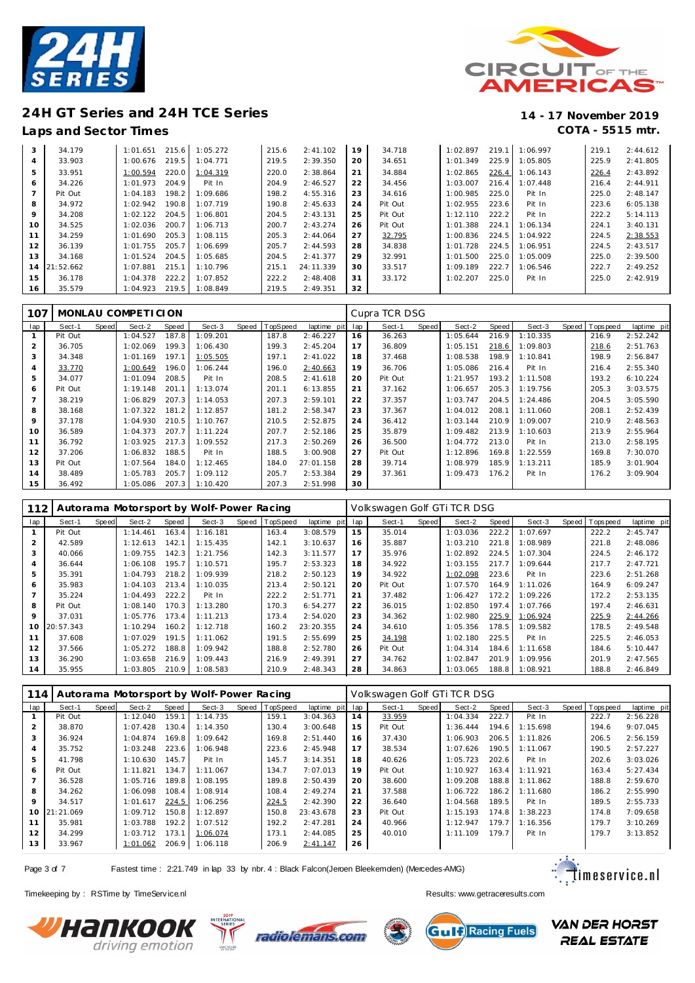



### **Laps and Sector Times COTA - 5515 mtr.**

| 3              | 34.179    | 1:01.651 | 215.6 | 1:05.272 | 215.6 | 2:41.102  | 19 | 34.718  | 1:02.897 | 219.1 | 1:06.997 | 219.1 | 2:44.612 |
|----------------|-----------|----------|-------|----------|-------|-----------|----|---------|----------|-------|----------|-------|----------|
| 4              | 33.903    | 1:00.676 | 219.5 | 1:04.771 | 219.5 | 2:39.350  | 20 | 34.651  | 1:01.349 | 225.9 | 1:05.805 | 225.9 | 2:41.805 |
| 5              | 33.951    | 1:00.594 | 220.0 | 1:04.319 | 220.0 | 2:38.864  | 21 | 34.884  | 1:02.865 | 226.4 | 1:06.143 | 226.4 | 2:43.892 |
| 6              | 34.226    | 1:01.973 | 204.9 | Pit In   | 204.9 | 2:46.527  | 22 | 34.456  | 1:03.007 | 216.4 | 1:07.448 | 216.4 | 2:44.911 |
| $\overline{7}$ | Pit Out   | 1:04.183 | 198.2 | 1:09.686 | 198.2 | 4:55.316  | 23 | 34.616  | 1:00.985 | 225.0 | Pit In   | 225.0 | 2:48.147 |
| 8              | 34.972    | 1:02.942 | 190.8 | 1:07.719 | 190.8 | 2:45.633  | 24 | Pit Out | 1:02.955 | 223.6 | Pit In   | 223.6 | 6:05.138 |
| 9              | 34.208    | 1:02.122 | 204.5 | 1:06.801 | 204.5 | 2:43.131  | 25 | Pit Out | 1:12.110 | 222.2 | Pit In   | 222.2 | 5:14.113 |
| 10             | 34.525    | 1:02.036 | 200.7 | 1:06.713 | 200.7 | 2:43.274  | 26 | Pit Out | 1:01.388 | 224.1 | 1:06.134 | 224.1 | 3:40.131 |
| 11             | 34.259    | 1:01.690 | 205.3 | 1:08.115 | 205.3 | 2:44.064  | 27 | 32.795  | 1:00.836 | 224.5 | 1:04.922 | 224.5 | 2:38.553 |
| 12             | 36.139    | 1:01.755 | 205.7 | 1:06.699 | 205.7 | 2:44.593  | 28 | 34.838  | 1:01.728 | 224.5 | 1:06.951 | 224.5 | 2:43.517 |
| 13             | 34.168    | 1:01.524 | 204.5 | 1:05.685 | 204.5 | 2:41.377  | 29 | 32.991  | 1:01.500 | 225.0 | 1:05.009 | 225.0 | 2:39.500 |
| 14             | 21:52.662 | 1:07.881 | 215.1 | 1:10.796 | 215.1 | 24:11.339 | 30 | 33.517  | 1:09.189 | 222.7 | 1:06.546 | 222.7 | 2:49.252 |
| 15             | 36.178    | 1:04.378 | 222.2 | 1:07.852 | 222.2 | 2:48.408  | 31 | 33.172  | 1:02.207 | 225.0 | Pit In   | 225.0 | 2:42.919 |
| 16             | 35.579    | 1:04.923 | 219.5 | 1:08.849 | 219.5 | 2:49.351  | 32 |         |          |       |          |       |          |

| 107            |         |       | MONLAU COMPETICION |       |          |       |          |             |     | Cupra TCR DSG |       |          |       |          |                  |             |
|----------------|---------|-------|--------------------|-------|----------|-------|----------|-------------|-----|---------------|-------|----------|-------|----------|------------------|-------------|
| lap            | Sect-1  | Speed | Sect-2             | Speed | Sect-3   | Speed | TopSpeed | laptime pit | lap | Sect-1        | Speed | Sect-2   | Speed | Sect-3   | Speed   Topspeed | laptime pit |
|                | Pit Out |       | 1:04.527           | 187.8 | 1:09.201 |       | 187.8    | 2:46.227    | 16  | 36.263        |       | 1:05.644 | 216.9 | 1:10.335 | 216.9            | 2:52.242    |
| 2              | 36.705  |       | 1:02.069           | 199.3 | 1:06.430 |       | 199.3    | 2:45.204    | 17  | 36.809        |       | 1:05.151 | 218.6 | 1:09.803 | 218.6            | 2:51.763    |
| 3              | 34.348  |       | 1:01.169           | 197.1 | 1:05.505 |       | 197.1    | 2:41.022    | 18  | 37.468        |       | 1:08.538 | 198.9 | 1:10.841 | 198.9            | 2:56.847    |
| 4              | 33.770  |       | 1:00.649           | 196.0 | 1:06.244 |       | 196.0    | 2:40.663    | 19  | 36.706        |       | 1:05.086 | 216.4 | Pit In   | 216.4            | 2:55.340    |
| 5              | 34.077  |       | 1:01.094           | 208.5 | Pit In   |       | 208.5    | 2:41.618    | 20  | Pit Out       |       | 1:21.957 | 193.2 | 1:11.508 | 193.2            | 6:10.224    |
| 6              | Pit Out |       | 1:19.148           | 201.1 | 1:13.074 |       | 201.1    | 6:13.855    | 21  | 37.162        |       | 1:06.657 | 205.3 | 1:19.756 | 205.3            | 3:03.575    |
| $\overline{7}$ | 38.219  |       | 1:06.829           | 207.3 | 1:14.053 |       | 207.3    | 2:59.101    | 22  | 37.357        |       | 1:03.747 | 204.5 | 1:24.486 | 204.5            | 3:05.590    |
| 8              | 38.168  |       | 1:07.322           | 181.2 | 1:12.857 |       | 181.2    | 2:58.347    | 23  | 37.367        |       | 1:04.012 | 208.1 | 1:11.060 | 208.1            | 2:52.439    |
| 9              | 37.178  |       | 1:04.930           | 210.5 | 1:10.767 |       | 210.5    | 2:52.875    | 24  | 36.412        |       | 1:03.144 | 210.9 | 1:09.007 | 210.9            | 2:48.563    |
| 10             | 36.589  |       | 1:04.373           | 207.7 | 1:11.224 |       | 207.7    | 2:52.186    | 25  | 35.879        |       | 1:09.482 | 213.9 | 1:10.603 | 213.9            | 2:55.964    |
| 11             | 36.792  |       | 1:03.925           | 217.3 | 1:09.552 |       | 217.3    | 2:50.269    | 26  | 36.500        |       | 1:04.772 | 213.0 | Pit In   | 213.0            | 2:58.195    |
| 12             | 37.206  |       | 1:06.832           | 188.5 | Pit In   |       | 188.5    | 3:00.908    | 27  | Pit Out       |       | 1:12.896 | 169.8 | 1:22.559 | 169.8            | 7:30.070    |
| 13             | Pit Out |       | 1:07.564           | 184.0 | 1:12.465 |       | 184.0    | 27:01.158   | 28  | 39.714        |       | 1:08.979 | 185.9 | 1:13.211 | 185.9            | 3:01.904    |
| 14             | 38.489  |       | 1:05.783           | 205.7 | 1:09.112 |       | 205.7    | 2:53.384    | 29  | 37.361        |       | 1:09.473 | 176.2 | Pit In   | 176.2            | 3:09.904    |
| 15             | 36.492  |       | 1:05.086           | 207.3 | 1:10.420 |       | 207.3    | 2:51.998    | 30  |               |       |          |       |          |                  |             |

| 112             |           |       |          |       | Autorama Motorsport by Wolf-Power Racing |       |          |             |     | Volkswagen Golf GTi TCR DSG |       |          |       |          |       |          |             |
|-----------------|-----------|-------|----------|-------|------------------------------------------|-------|----------|-------------|-----|-----------------------------|-------|----------|-------|----------|-------|----------|-------------|
| lap             | Sect-1    | Speed | Sect-2   | Speed | Sect-3                                   | Speed | TopSpeed | laptime pit | lap | Sect-1                      | Speed | Sect-2   | Speed | Sect-3   | Speed | Topspeed | laptime pit |
|                 | Pit Out   |       | 1:14.461 | 163.4 | 1:16.181                                 |       | 163.4    | 3:08.579    | 15  | 35.014                      |       | 1:03.036 | 222.2 | 1:07.697 |       | 222.2    | 2:45.747    |
| 2               | 42.589    |       | 1:12.613 | 142.1 | 1:15.435                                 |       | 142.1    | 3:10.637    | 16  | 35.887                      |       | 1:03.210 | 221.8 | 1:08.989 |       | 221.8    | 2:48.086    |
| 3               | 40.066    |       | 1:09.755 | 142.3 | 1:21.756                                 |       | 142.3    | 3:11.577    | 17  | 35.976                      |       | 1:02.892 | 224.5 | 1:07.304 |       | 224.5    | 2:46.172    |
| 4               | 36.644    |       | 1:06.108 | 195.7 | 1:10.571                                 |       | 195.7    | 2:53.323    | 18  | 34.922                      |       | 1:03.155 | 217.7 | 1:09.644 |       | 217.7    | 2:47.721    |
| 5               | 35.391    |       | 1:04.793 | 218.2 | 1:09.939                                 |       | 218.2    | 2:50.123    | 19  | 34.922                      |       | 1:02.098 | 223.6 | Pit In   |       | 223.6    | 2:51.268    |
| 6               | 35.983    |       | 1:04.103 | 213.4 | 1:10.035                                 |       | 213.4    | 2:50.121    | 20  | Pit Out                     |       | 1:07.570 | 164.9 | 1:11.026 |       | 164.9    | 6:09.247    |
|                 | 35.224    |       | 1:04.493 | 222.2 | Pit In                                   |       | 222.2    | 2:51.771    | 21  | 37.482                      |       | 1:06.427 | 172.2 | 1:09.226 |       | 172.2    | 2:53.135    |
| 8               | Pit Out   |       | 1:08.140 | 170.3 | 1:13.280                                 |       | 170.3    | 6:54.277    | 22  | 36.015                      |       | 1:02.850 | 197.4 | 1:07.766 |       | 197.4    | 2:46.631    |
| 9               | 37.031    |       | 1:05.776 | 173.4 | 1:11.213                                 |       | 173.4    | 2:54.020    | 23  | 34.362                      |       | 1:02.980 | 225.9 | 1:06.924 |       | 225.9    | 2:44.266    |
| 10 <sup>°</sup> | 20:57.343 |       | 1:10.294 | 160.2 | 1:12.718                                 |       | 160.2    | 23:20.355   | 24  | 34.610                      |       | 1:05.356 | 178.5 | 1:09.582 |       | 178.5    | 2:49.548    |
| 11              | 37.608    |       | 1:07.029 | 191.5 | 1:11.062                                 |       | 191.5    | 2:55.699    | 25  | 34.198                      |       | 1:02.180 | 225.5 | Pit In   |       | 225.5    | 2:46.053    |
| 12              | 37.566    |       | 1:05.272 | 188.8 | 1:09.942                                 |       | 188.8    | 2:52.780    | 26  | Pit Out                     |       | 1:04.314 | 184.6 | 1:11.658 |       | 184.6    | 5:10.447    |
| 13              | 36.290    |       | 1:03.658 | 216.9 | 1:09.443                                 |       | 216.9    | 2:49.391    | 27  | 34.762                      |       | 1:02.847 | 201.9 | 1:09.956 |       | 201.9    | 2:47.565    |
| 14              | 35.955    |       | 1:03.805 | 210.9 | 1:08.583                                 |       | 210.9    | 2:48.343    | 28  | 34.863                      |       | 1:03.065 | 188.8 | 1:08.921 |       | 188.8    | 2:46.849    |

| 114      |           |       |          |       | Autorama Motorsport by Wolf-Power Racing |                |                 |    | Volkswagen Golf GTi TCR DSG |       |          |       |          |                   |             |
|----------|-----------|-------|----------|-------|------------------------------------------|----------------|-----------------|----|-----------------------------|-------|----------|-------|----------|-------------------|-------------|
| lap      | Sect-1    | Speed | Sect-2   | Speed | Sect-3                                   | Speed TopSpeed | laptime pit lap |    | Sect-1                      | Speed | Sect-2   | Speed | Sect-3   | Speed   Tops peed | laptime pit |
|          | Pit Out   |       | 1:12.040 | 159.1 | 1:14.735                                 | 159.1          | 3:04.363        | 14 | 33.959                      |       | 1:04.334 | 222.7 | Pit In   | 222.7             | 2:56.228    |
|          | 38.870    |       | 1:07.428 | 130.4 | 1:14.350                                 | 130.4          | 3:00.648        | 15 | Pit Out                     |       | 1:36.444 | 194.6 | 1:15.698 | 194.6             | 9:07.045    |
|          | 36.924    |       | 1:04.874 | 169.8 | 1:09.642                                 | 169.8          | 2:51.440        | 16 | 37.430                      |       | 1:06.903 | 206.5 | 1:11.826 | 206.5             | 2:56.159    |
| 4        | 35.752    |       | 1:03.248 | 223.6 | 1:06.948                                 | 223.6          | 2:45.948        | 17 | 38.534                      |       | 1:07.626 | 190.5 | 1:11.067 | 190.5             | 2:57.227    |
| 5        | 41.798    |       | 1:10.630 | 145.7 | Pit In                                   | 145.7          | 3:14.351        | 18 | 40.626                      |       | 1:05.723 | 202.6 | Pit In   | 202.6             | 3:03.026    |
| 6        | Pit Out   |       | 1:11.821 | 134.7 | 1:11.067                                 | 134.7          | 7:07.013        | 19 | Pit Out                     |       | 1:10.927 | 163.4 | 1:11.921 | 163.4             | 5:27.434    |
|          | 36.528    |       | 1:05.716 | 189.8 | 1:08.195                                 | 189.8          | 2:50.439        | 20 | 38.600                      |       | 1:09.208 | 188.8 | 1:11.862 | 188.8             | 2:59.670    |
| 8        | 34.262    |       | 1:06.098 | 108.4 | 1:08.914                                 | 108.4          | 2:49.274        | 21 | 37.588                      |       | 1:06.722 | 186.2 | 1:11.680 | 186.2             | 2:55.990    |
| $\circ$  | 34.517    |       | 1:01.617 | 224.5 | 1:06.256                                 | 224.5          | 2:42.390        | 22 | 36.640                      |       | 1:04.568 | 189.5 | Pit In   | 189.5             | 2:55.733    |
| $10^{-}$ | 21:21.069 |       | 1:09.712 | 150.8 | 1:12.897                                 | 150.8          | 23:43.678       | 23 | Pit Out                     |       | 1:15.193 | 174.8 | 1:38.223 | 174.8             | 7:09.658    |
| 11       | 35.981    |       | 1:03.788 | 192.2 | 1:07.512                                 | 192.2          | 2:47.281        | 24 | 40.966                      |       | 1:12.947 | 179.7 | 1:16.356 | 179.7             | 3:10.269    |
| 12       | 34.299    |       | 1:03.712 | 173.1 | 1:06.074                                 | 173.1          | 2:44.085        | 25 | 40.010                      |       | 1:11.109 | 179.7 | Pit In   | 179.7             | 3:13.852    |
| 13       | 33.967    |       | 1:01.062 | 206.9 | 1:06.118                                 | 206.9          | 2:41.147        | 26 |                             |       |          |       |          |                   |             |

Page 3 of 7 Fastest time : 2:21.749 in lap 33 by nbr. 4 : Black Falcon(Jeroen Bleekemolen) (Mercedes-AMG)



Timekeeping by : RSTime by TimeServ ice.nl **Results:** Wesults:<www.getraceresults.com>





Gul D Racing Fuels

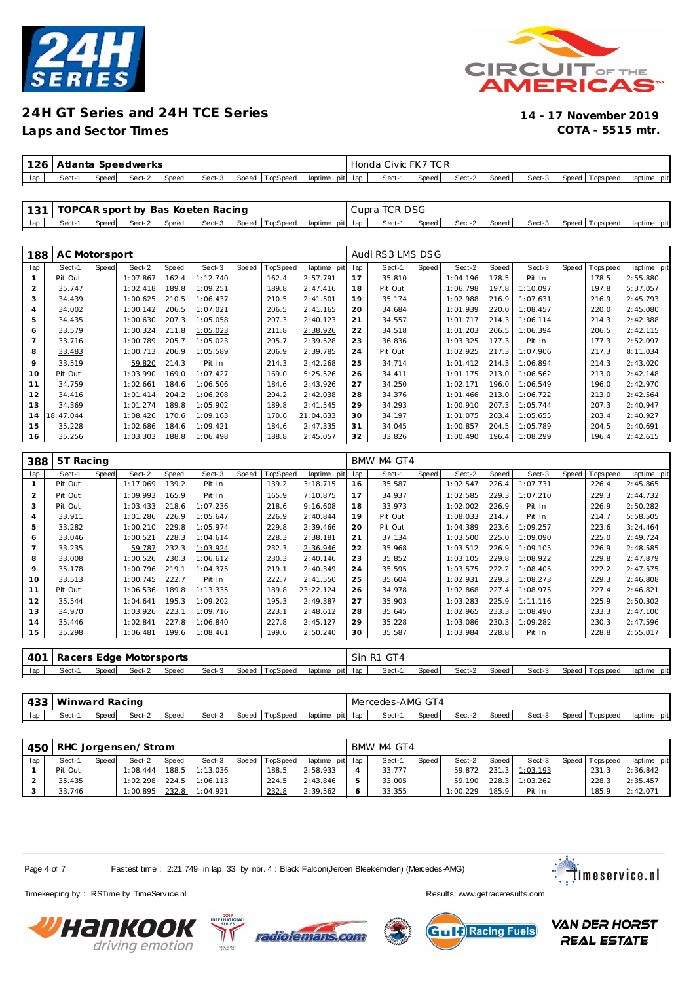



**Laps and Sector Times COTA - 5515 mtr.**

|     | 126 <sub>1</sub><br>Atlanta<br>Speedwerks |       |        |       |        |       | Honda    | Civic   | TC R<br>FK7 |       |       |        |       |        |                         |             |
|-----|-------------------------------------------|-------|--------|-------|--------|-------|----------|---------|-------------|-------|-------|--------|-------|--------|-------------------------|-------------|
| lap | Sect-                                     | Speed | Sect-2 | Speed | Sect-3 | Speed | TopSpeeg | laptime | pit lap     | Sect- | Speed | Sect-2 | Speed | Sect-3 | Speed   T<br>Tops pee d | laptime pit |

|     |        |       |        |       | 131   TOPCAR sport by Bas Koeten Racing |                |                   | Cupra TCR DSG |       |        |       |        |                   |             |
|-----|--------|-------|--------|-------|-----------------------------------------|----------------|-------------------|---------------|-------|--------|-------|--------|-------------------|-------------|
| lap | Sect-1 | Speed | Sect-2 | Speed | Sect-3                                  | Speed TopSpeed | laptime pit lap l | Sect-1        | Speed | Sect-2 | Speed | Sect-3 | Speed   Tops peed | laptime pit |

| 188 | AC Motorsport |       |          |       |          |       |         |             |     | Audi RS3 LMS DSG |       |          |       |          |       |            |             |
|-----|---------------|-------|----------|-------|----------|-------|---------|-------------|-----|------------------|-------|----------|-------|----------|-------|------------|-------------|
| lap | Sect-1        | Speed | Sect-2   | Speed | Sect-3   | Speed | opSpeed | laptime pit | lap | Sect-1           | Speed | Sect-2   | Speed | Sect-3   | Speed | T ops peed | laptime pit |
|     | Pit Out       |       | 1:07.867 | 162.4 | 1:12.740 |       | 162.4   | 2:57.791    | 17  | 35.810           |       | 1:04.196 | 178.5 | Pit In   |       | 178.5      | 2:55.880    |
| 2   | 35.747        |       | 1:02.418 | 189.8 | 1:09.251 |       | 189.8   | 2:47.416    | 18  | Pit Out          |       | 1:06.798 | 197.8 | 1:10.097 |       | 197.8      | 5:37.057    |
| 3   | 34.439        |       | 1:00.625 | 210.5 | 1:06.437 |       | 210.5   | 2:41.501    | 19  | 35.174           |       | 1:02.988 | 216.9 | 1:07.631 |       | 216.9      | 2:45.793    |
| 4   | 34.002        |       | 1:00.142 | 206.5 | 1:07.021 |       | 206.5   | 2: 41.165   | 20  | 34.684           |       | 1:01.939 | 220.0 | 1:08.457 |       | 220.0      | 2:45.080    |
| 5   | 34.435        |       | 1:00.630 | 207.3 | 1:05.058 |       | 207.3   | 2:40.123    | 21  | 34.557           |       | 1:01.717 | 214.3 | 1:06.114 |       | 214.3      | 2:42.388    |
| 6   | 33.579        |       | 1:00.324 | 211.8 | 1:05.023 |       | 211.8   | 2:38.926    | 22  | 34.518           |       | 1:01.203 | 206.5 | 1:06.394 |       | 206.5      | 2:42.115    |
|     | 33.716        |       | 1:00.789 | 205.7 | 1:05.023 |       | 205.7   | 2:39.528    | 23  | 36.836           |       | 1:03.325 | 177.3 | Pit In   |       | 177.3      | 2:52.097    |
| 8   | 33.483        |       | 1:00.713 | 206.9 | 1:05.589 |       | 206.9   | 2:39.785    | 24  | Pit Out          |       | 1:02.925 | 217.3 | 1:07.906 |       | 217.3      | 8:11.034    |
| 9   | 33.519        |       | 59.820   | 214.3 | Pit In   |       | 214.3   | 2:42.268    | 25  | 34.714           |       | 1:01.412 | 214.3 | 1:06.894 |       | 214.3      | 2:43.020    |
| 10  | Pit Out       |       | 1:03.990 | 169.0 | 1:07.427 |       | 169.0   | 5:25.526    | 26  | 34.411           |       | 1:01.175 | 213.0 | 1:06.562 |       | 213.0      | 2:42.148    |
| 11  | 34.759        |       | 1:02.661 | 184.6 | 1:06.506 |       | 184.6   | 2:43.926    | 27  | 34.250           |       | 1:02.171 | 196.0 | 1:06.549 |       | 196.0      | 2:42.970    |
| 12  | 34.416        |       | 1:01.414 | 204.2 | 1:06.208 |       | 204.2   | 2:42.038    | 28  | 34.376           |       | 1:01.466 | 213.0 | 1:06.722 |       | 213.0      | 2:42.564    |
| 13  | 34.369        |       | 1:01.274 | 189.8 | 1:05.902 |       | 189.8   | 2:41.545    | 29  | 34.293           |       | 1:00.910 | 207.3 | 1:05.744 |       | 207.3      | 2:40.947    |
| 14  | 18:47.044     |       | 1:08.426 | 170.6 | 1:09.163 |       | 170.6   | 21:04.633   | 30  | 34.197           |       | 1:01.075 | 203.4 | 1:05.655 |       | 203.4      | 2:40.927    |
| 15  | 35.228        |       | 1:02.686 | 184.6 | 1:09.421 |       | 184.6   | 2:47.335    | 31  | 34.045           |       | 1:00.857 | 204.5 | 1:05.789 |       | 204.5      | 2:40.691    |
| 16  | 35.256        |       | 1:03.303 | 188.8 | 1:06.498 |       | 188.8   | 2:45.057    | 32  | 33.826           |       | 1:00.490 | 196.4 | 1:08.299 |       | 196.4      | 2:42.615    |

| 388 | ST Racing |       |                             |       |          |       |          |             |     | BMW M4 GT4 |       |          |       |          |                |             |
|-----|-----------|-------|-----------------------------|-------|----------|-------|----------|-------------|-----|------------|-------|----------|-------|----------|----------------|-------------|
| lap | Sect-1    | Speed | Sect-2                      | Speed | Sect-3   | Speed | TopSpeed | laptime pit | lap | Sect-1     | Speed | Sect-2   | Speed | Sect-3   | Speed Topspeed | laptime pit |
|     | Pit Out   |       | 1:17.069                    | 139.2 | Pit In   |       | 139.2    | 3:18.715    | 16  | 35.587     |       | 1:02.547 | 226.4 | 1:07.731 | 226.4          | 2:45.865    |
| 2   | Pit Out   |       | 1:09.993                    | 165.9 | Pit In   |       | 165.9    | 7:10.875    | 17  | 34.937     |       | 1:02.585 | 229.3 | 1:07.210 | 229.3          | 2:44.732    |
| 3   | Pit Out   |       | 1:03.433                    | 218.6 | 1:07.236 |       | 218.6    | 9:16.608    | 18  | 33.973     |       | 1:02.002 | 226.9 | Pit In   | 226.9          | 2:50.282    |
| 4   | 33.911    |       | 1:01.286                    | 226.9 | 1:05.647 |       | 226.9    | 2:40.844    | 19  | Pit Out    |       | 1:08.033 | 214.7 | Pit In   | 214.7          | 5:58.505    |
| 5   | 33.282    |       | 1:00.210                    | 229.8 | 1:05.974 |       | 229.8    | 2:39.466    | 20  | Pit Out    |       | 1:04.389 | 223.6 | 1:09.257 | 223.6          | 3:24.464    |
| 6   | 33.046    |       | 1:00.521                    | 228.3 | 1:04.614 |       | 228.3    | 2:38.181    | 21  | 37.134     |       | 1:03.500 | 225.0 | 1:09.090 | 225.0          | 2:49.724    |
|     | 33.235    |       | 59.787                      | 232.3 | 1:03.924 |       | 232.3    | 2:36.946    | 22  | 35.968     |       | 1:03.512 | 226.9 | 1:09.105 | 226.9          | 2:48.585    |
| 8   | 33.008    |       | 1:00.526                    | 230.3 | 1:06.612 |       | 230.3    | 2:40.146    | 23  | 35.852     |       | 1:03.105 | 229.8 | 1:08.922 | 229.8          | 2:47.879    |
| 9   | 35.178    |       | 1:00.796                    | 219.1 | 1:04.375 |       | 219.1    | 2:40.349    | 24  | 35.595     |       | 1:03.575 | 222.2 | 1:08.405 | 222.2          | 2:47.575    |
| 10  | 33.513    |       | 1:00.745                    | 222.7 | Pit In   |       | 222.7    | 2:41.550    | 25  | 35.604     |       | 1:02.931 | 229.3 | 1:08.273 | 229.3          | 2:46.808    |
| 11  | Pit Out   |       | 1:06.536                    | 189.8 | 1:13.335 |       | 189.8    | 23:22.124   | 26  | 34.978     |       | 1:02.868 | 227.4 | 1:08.975 | 227.4          | 2:46.821    |
| 12  | 35.544    |       | 1:04.641                    | 195.3 | 1:09.202 |       | 195.3    | 2:49.387    | 27  | 35.903     |       | 1:03.283 | 225.9 | 1:11.116 | 225.9          | 2:50.302    |
| 13  | 34.970    |       | 1:03.926                    | 223.1 | 1:09.716 |       | 223.1    | 2:48.612    | 28  | 35.645     |       | 1:02.965 | 233.3 | 1:08.490 | 233.3          | 2:47.100    |
| 14  | 35.446    |       | 1:02.841                    | 227.8 | 1:06.840 |       | 227.8    | 2:45.127    | 29  | 35.228     |       | 1:03.086 | 230.3 | 1:09.282 | 230.3          | 2:47.596    |
| 15  | 35.298    |       | 1:06.481                    | 199.6 | 1:08.461 |       | 199.6    | 2:50.240    | 30  | 35.587     |       | 1:03.984 | 228.8 | Pit In   | 228.8          | 2:55.017    |
|     |           |       |                             |       |          |       |          |             |     |            |       |          |       |          |                |             |
|     |           |       | 401 Racers Edge Motorsports |       |          |       |          |             |     | Sin R1 GT4 |       |          |       |          |                |             |

| $-401$ | Racers Edge Motorsports |        |        |              |        |                     | Sin     | R1<br>14 ا ت |       |       |        |       |        |       |           |                |
|--------|-------------------------|--------|--------|--------------|--------|---------------------|---------|--------------|-------|-------|--------|-------|--------|-------|-----------|----------------|
| lap    | Sect-                   | Speedl | Sect-2 | <b>Speed</b> | Sect-3 | Speed  <br>TopSpeed | laptime | pit lap      | Sect- | Speed | Sect-2 | Speed | Sect-3 | Speed | Tops peed | pit<br>laptime |

| $\Lambda$<br>ـ 43 - | Winward Racing |              |        |       |        |       |          | Mercedes-AMG   | GT4 |       |       |        |       |        |                         |             |
|---------------------|----------------|--------------|--------|-------|--------|-------|----------|----------------|-----|-------|-------|--------|-------|--------|-------------------------|-------------|
| lap                 | Sect-          | <b>Speed</b> | Sect-2 | Speed | Sect-3 | Speed | TopSpeea | laptime<br>pit | lap | Sect- | Speed | Sect-2 | Speed | Sect-3 | Speed   T<br>Tops pee d | laptime pit |

|     |         |       | 450   RHC Jorgensen/Strom |       |          |       |          |                 | BMW M4 GT4 |       |          |       |                |                |             |
|-----|---------|-------|---------------------------|-------|----------|-------|----------|-----------------|------------|-------|----------|-------|----------------|----------------|-------------|
| lap | Sect-1  | Speed | Sect-2                    | Speed | Sect-3   | Speed | TopSpeed | laptime pit lap | Sect-1     | Speed | Sect-2   | Speed | Sect-3         | Speed Topspeed | laptime pit |
|     | Pit Out |       | 1:08.444                  | 188.5 | 1:13.036 |       | 188.5    | 2:58.933        | 33.777     |       | 59.872   |       | 231.3 1:03.193 | 231.3          | 2:36.842    |
|     | 35.435  |       | 1:02.298                  | 224.5 | 1:06.113 |       | 224.5    | 2:43.846        | 33.005     |       | 59.190   |       | 228.3 1:03.262 | 228.3          | 2:35.457    |
|     | 33.746  |       | 1:00.895                  | 232.8 | 1:04.921 |       | 232.8    | 2:39.562        | 33.355     |       | 1:00.229 | 185.9 | Pit In         | 185.9          | 2:42.071    |

Page 4 of 7 Fastest time : 2:21.749 in lap 33 by nbr. 4 : Black Falcon(Jeroen Bleekemolen) (Mercedes-AMG)



**VAN DER HORST** 

**REAL ESTATE** 

Timekeeping by : RSTime by TimeServ ice.nl **Results:** Wesults:<www.getraceresults.com>







Gul D Racing Fuels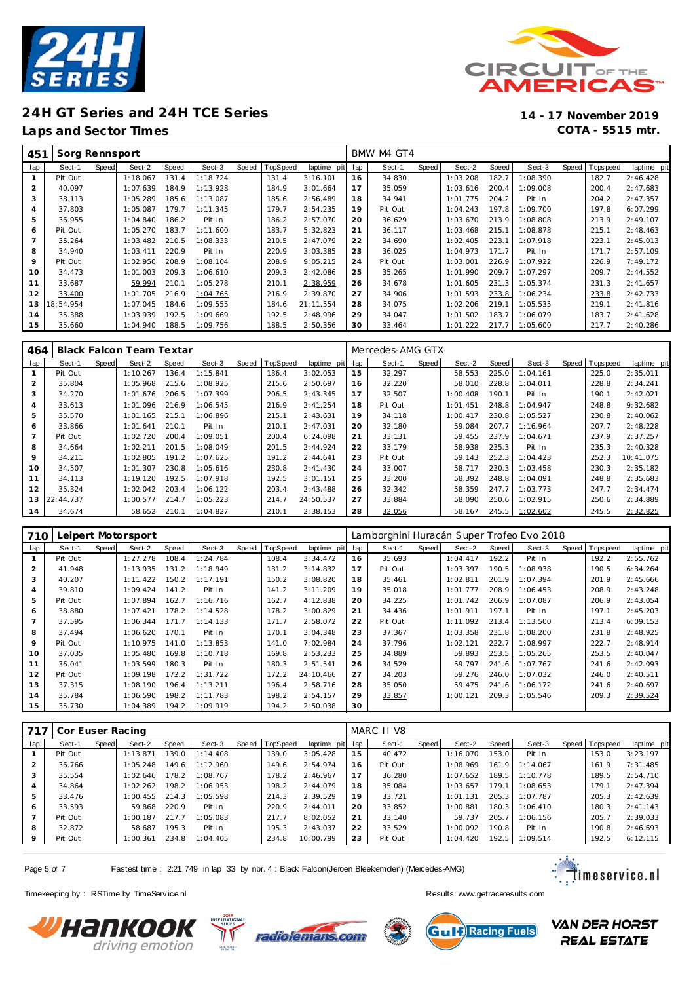

**Laps and Sector Times COTA - 5515 mtr.**



| 451            | Sorg Rennsport |       |          |       |          |       |         |             |     | BMW M4 GT4 |       |          |       |          |       |             |             |
|----------------|----------------|-------|----------|-------|----------|-------|---------|-------------|-----|------------|-------|----------|-------|----------|-------|-------------|-------------|
| lap            | Sect-1         | Speed | Sect-2   | Speed | Sect-3   | Speed | opSpeed | laptime pit | lap | Sect-1     | Speed | Sect-2   | Speed | Sect-3   | Speed | T ops pee d | laptime pit |
|                | Pit Out        |       | 1:18.067 | 131.4 | 1:18.724 |       | 131.4   | 3:16.101    | 16  | 34.830     |       | 1:03.208 | 182.7 | 1:08.390 |       | 182.7       | 2:46.428    |
| $\overline{2}$ | 40.097         |       | 1:07.639 | 184.9 | 1:13.928 |       | 184.9   | 3:01.664    | 17  | 35.059     |       | 1:03.616 | 200.4 | 1:09.008 |       | 200.4       | 2:47.683    |
| 3              | 38.113         |       | 1:05.289 | 185.6 | 1:13.087 |       | 185.6   | 2:56.489    | 18  | 34.941     |       | 1:01.775 | 204.2 | Pit In   |       | 204.2       | 2:47.357    |
| 4              | 37.803         |       | 1:05.087 | 179.7 | 1:11.345 |       | 179.7   | 2:54.235    | 19  | Pit Out    |       | 1:04.243 | 197.8 | 1:09.700 |       | 197.8       | 6:07.299    |
| 5              | 36.955         |       | 1:04.840 | 186.2 | Pit In   |       | 186.2   | 2:57.070    | 20  | 36.629     |       | 1:03.670 | 213.9 | 1:08.808 |       | 213.9       | 2:49.107    |
| 6              | Pit Out        |       | 1:05.270 | 183.7 | 1:11.600 |       | 183.7   | 5:32.823    | 21  | 36.117     |       | 1:03.468 | 215.1 | 1:08.878 |       | 215.1       | 2:48.463    |
| 7              | 35.264         |       | 1:03.482 | 210.5 | 1:08.333 |       | 210.5   | 2:47.079    | 22  | 34.690     |       | 1:02.405 | 223.1 | 1:07.918 |       | 223.1       | 2:45.013    |
| 8              | 34.940         |       | 1:03.411 | 220.9 | Pit In   |       | 220.9   | 3:03.385    | 23  | 36.025     |       | 1:04.973 | 171.7 | Pit In   |       | 171.7       | 2:57.109    |
| 9              | Pit Out        |       | 1:02.950 | 208.9 | 1:08.104 |       | 208.9   | 9:05.215    | 24  | Pit Out    |       | 1:03.001 | 226.9 | 1:07.922 |       | 226.9       | 7:49.172    |
| 10             | 34.473         |       | 1:01.003 | 209.3 | 1:06.610 |       | 209.3   | 2:42.086    | 25  | 35.265     |       | 1:01.990 | 209.7 | 1:07.297 |       | 209.7       | 2:44.552    |
| 11             | 33.687         |       | 59.994   | 210.1 | 1:05.278 |       | 210.1   | 2:38.959    | 26  | 34.678     |       | 1:01.605 | 231.3 | 1:05.374 |       | 231.3       | 2:41.657    |
| 12             | 33.400         |       | 1:01.705 | 216.9 | 1:04.765 |       | 216.9   | 2:39.870    | 27  | 34.906     |       | 1:01.593 | 233.8 | 1:06.234 |       | 233.8       | 2:42.733    |
| 13             | 18:54.954      |       | 1:07.045 | 184.6 | 1:09.555 |       | 184.6   | 21:11.554   | 28  | 34.075     |       | 1:02.206 | 219.1 | 1:05.535 |       | 219.1       | 2:41.816    |
| 14             | 35.388         |       | 1:03.939 | 192.5 | 1:09.669 |       | 192.5   | 2:48.996    | 29  | 34.047     |       | 1:01.502 | 183.7 | 1:06.079 |       | 183.7       | 2:41.628    |
| 15             | 35.660         |       | 1:04.940 | 188.5 | 1:09.756 |       | 188.5   | 2:50.356    | 30  | 33.464     |       | 1:01.222 | 217.7 | 1:05.600 |       | 217.7       | 2:40.286    |

| 464 |           |       | <b>Black Falcon Team Textar</b> |       |          |       |          |             |     | Mercedes-AMG GTX |       |          |       |          |                 |             |
|-----|-----------|-------|---------------------------------|-------|----------|-------|----------|-------------|-----|------------------|-------|----------|-------|----------|-----------------|-------------|
| lap | Sect-1    | Speed | Sect-2                          | Speed | Sect-3   | Speed | TopSpeed | laptime pit | lap | Sect-1           | Speed | Sect-2   | Speed | Sect-3   | Speed Tops peed | laptime pit |
|     | Pit Out   |       | 1:10.267                        | 136.4 | 1:15.841 |       | 136.4    | 3:02.053    | 15  | 32.297           |       | 58.553   | 225.0 | 1:04.161 | 225.0           | 2:35.011    |
| 2   | 35.804    |       | 1:05.968                        | 215.6 | 1:08.925 |       | 215.6    | 2:50.697    | 16  | 32.220           |       | 58.010   | 228.8 | 1:04.011 | 228.8           | 2:34.241    |
| 3   | 34.270    |       | 1:01.676                        | 206.5 | 1:07.399 |       | 206.5    | 2:43.345    | 17  | 32.507           |       | 1:00.408 | 190.1 | Pit In   | 190.1           | 2:42.021    |
| 4   | 33.613    |       | 1:01.096                        | 216.9 | 1:06.545 |       | 216.9    | 2:41.254    | 18  | Pit Out          |       | 1:01.451 | 248.8 | 1:04.947 | 248.8           | 9:32.682    |
| 5   | 35.570    |       | 1:01.165                        | 215.1 | 1:06.896 |       | 215.1    | 2:43.631    | 19  | 34.118           |       | 1:00.417 | 230.8 | 1:05.527 | 230.8           | 2:40.062    |
| 6   | 33.866    |       | 1:01.641                        | 210.1 | Pit In   |       | 210.1    | 2:47.031    | 20  | 32.180           |       | 59.084   | 207.7 | 1:16.964 | 207.7           | 2:48.228    |
|     | Pit Out   |       | 1:02.720                        | 200.4 | :09.051  |       | 200.4    | 6:24.098    | 21  | 33.131           |       | 59.455   | 237.9 | 1:04.671 | 237.9           | 2:37.257    |
| 8   | 34.664    |       | 1:02.211                        | 201.5 | 1:08.049 |       | 201.5    | 2:44.924    | 22  | 33.179           |       | 58.938   | 235.3 | Pit In   | 235.3           | 2:40.328    |
| 9   | 34.211    |       | 1:02.805                        | 191.2 | 1:07.625 |       | 191.2    | 2:44.641    | 23  | Pit Out          |       | 59.143   | 252.3 | 1:04.423 | 252.3           | 10:41.075   |
| 10  | 34.507    |       | 1:01.307                        | 230.8 | 1:05.616 |       | 230.8    | 2:41.430    | 24  | 33.007           |       | 58.717   | 230.3 | 1:03.458 | 230.3           | 2:35.182    |
| 11  | 34.113    |       | 1:19.120                        | 192.5 | 1:07.918 |       | 192.5    | 3:01.151    | 25  | 33.200           |       | 58.392   | 248.8 | 1:04.091 | 248.8           | 2:35.683    |
| 12  | 35.324    |       | 1:02.042                        | 203.4 | 1:06.122 |       | 203.4    | 2:43.488    | 26  | 32.342           |       | 58.359   | 247.7 | 1:03.773 | 247.7           | 2:34.474    |
| 13  | 22:44.737 |       | 1:00.577                        | 214.7 | 1:05.223 |       | 214.7    | 24:50.537   | 27  | 33.884           |       | 58.090   | 250.6 | 1:02.915 | 250.6           | 2:34.889    |
| 14  | 34.674    |       | 58.652                          | 210.1 | 1:04.827 |       | 210.1    | 2:38.153    | 28  | 32.056           |       | 58.167   | 245.5 | 1:02.602 | 245.5           | 2:32.825    |

| 710            |         |       | Leipert Motorsport |       |          |       |          |             |     | Lamborghini Huracán Super Trofeo Evo 2018 |       |          |       |                |                |             |
|----------------|---------|-------|--------------------|-------|----------|-------|----------|-------------|-----|-------------------------------------------|-------|----------|-------|----------------|----------------|-------------|
| lap            | Sect-1  | Speed | Sect-2             | Speed | Sect-3   | Speed | TopSpeed | laptime pit | lap | Sect-1                                    | Speed | Sect-2   | Speed | Sect-3         | Speed Topspeed | laptime pit |
|                | Pit Out |       | 1:27.278           | 108.4 | 1:24.784 |       | 108.4    | 3:34.472    | 16  | 35.693                                    |       | 1:04.417 | 192.2 | Pit In         | 192.2          | 2:55.762    |
| 2              | 41.948  |       | 1:13.935           | 131.2 | 1:18.949 |       | 131.2    | 3:14.832    | 17  | Pit Out                                   |       | 1:03.397 | 190.5 | 1:08.938       | 190.5          | 6:34.264    |
| 3              | 40.207  |       | 1:11.422           | 150.2 | 1:17.191 |       | 150.2    | 3:08.820    | 18  | 35.461                                    |       | 1:02.811 | 201.9 | 1:07.394       | 201.9          | 2:45.666    |
| $\overline{4}$ | 39.810  |       | 1:09.424           | 141.2 | Pit In   |       | 141.2    | 3:11.209    | 19  | 35.018                                    |       | 1:01.777 | 208.9 | 1:06.453       | 208.9          | 2:43.248    |
| 5              | Pit Out |       | 1:07.894           | 162.7 | 1:16.716 |       | 162.7    | 4:12.838    | 20  | 34.225                                    |       | 1:01.742 | 206.9 | 1:07.087       | 206.9          | 2:43.054    |
| 6              | 38.880  |       | 1:07.421           | 178.2 | 1:14.528 |       | 178.2    | 3:00.829    | 21  | 34.436                                    |       | 1:01.911 | 197.1 | Pit In         | 197.1          | 2:45.203    |
| $\overline{ }$ | 37.595  |       | 1:06.344           | 171.7 | 1:14.133 |       | 171.7    | 2:58.072    | 22  | Pit Out                                   |       | 1:11.092 | 213.4 | 1:13.500       | 213.4          | 6:09.153    |
| 8              | 37.494  |       | 1:06.620           | 170.1 | Pit In   |       | 170.1    | 3:04.348    | 23  | 37.367                                    |       | 1:03.358 | 231.8 | 1:08.200       | 231.8          | 2:48.925    |
| 9              | Pit Out |       | 1:10.975           | 141.0 | 1:13.853 |       | 141.0    | 7:02.984    | 24  | 37.796                                    |       | 1:02.121 | 222.7 | 1:08.997       | 222.7          | 2:48.914    |
| 10             | 37.035  |       | 1:05.480           | 169.8 | 1:10.718 |       | 169.8    | 2:53.233    | 25  | 34.889                                    |       | 59.893   |       | 253.5 1:05.265 | 253.5          | 2:40.047    |
| 11             | 36.041  |       | 1:03.599           | 180.3 | Pit In   |       | 180.3    | 2:51.541    | 26  | 34.529                                    |       | 59.797   | 241.6 | 1:07.767       | 241.6          | 2:42.093    |
| 12             | Pit Out |       | 1:09.198           | 172.2 | 1:31.722 |       | 172.2    | 24:10.466   | 27  | 34.203                                    |       | 59.276   | 246.0 | 1:07.032       | 246.0          | 2:40.511    |
| 13             | 37.315  |       | 1:08.190           | 196.4 | 1:13.211 |       | 196.4    | 2:58.716    | 28  | 35.050                                    |       | 59.475   | 241.6 | 1:06.172       | 241.6          | 2:40.697    |
| 14             | 35.784  |       | 1:06.590           | 198.2 | 1:11.783 |       | 198.2    | 2:54.157    | 29  | 33.857                                    |       | 1:00.121 | 209.3 | 1:05.546       | 209.3          | 2:39.524    |
| 15             | 35.730  |       | 1:04.389           | 194.2 | 1:09.919 |       | 194.2    | 2:50.038    | 30  |                                           |       |          |       |                |                |             |

| 717     | Cor Euser Racing |       |          |       |                |                |             |     | MARC II V8 |       |          |         |          |                 |             |
|---------|------------------|-------|----------|-------|----------------|----------------|-------------|-----|------------|-------|----------|---------|----------|-----------------|-------------|
| lap     | Sect-1           | Speed | Sect-2   | Speed | Sect-3         | Speed TopSpeed | laptime pit | lap | Sect-1     | Speed | Sect-2   | Speed ! | Sect-3   | Speed Tops peed | laptime pit |
|         | Pit Out          |       | 1:13.871 | 139.0 | 1:14.408       | 139.0          | 3:05.428    | 15  | 40.472     |       | 1:16.070 | 153.0   | Pit In   | 153.0           | 3:23.197    |
| 2       | 36.766           |       | 1:05.248 | 149.6 | 1:12.960       | 149.6          | 2:54.974    | 16  | Pit Out    |       | 1:08.969 | 161.9   | 1:14.067 | 161.9           | 7:31.485    |
| 3       | 35.554           |       | 1:02.646 | 178.2 | 1:08.767       | 178.2          | 2:46.967    | 17  | 36.280     |       | 1:07.652 | 189.5   | 1:10.778 | 189.5           | 2:54.710    |
| 4       | 34.864           |       | 1:02.262 | 198.2 | 1:06.953       | 198.2          | 2:44.079    | 18  | 35.084     |       | 1:03.657 | 179.1   | 1:08.653 | 179.1           | 2:47.394    |
| 5       | 33.476           |       | 1:00.455 | 214.3 | 1:05.598       | 214.3          | 2:39.529    | 19  | 33.721     |       | 1:01.131 | 205.3   | 1:07.787 | 205.3           | 2:42.639    |
| 6       | 33.593           |       | 59.868   | 220.9 | Pit In         | 220.9          | 2:44.011    | 20  | 33.852     |       | 1:00.881 | 180.3   | 1:06.410 | 180.3           | 2:41.143    |
|         | Pit Out          |       | 1:00.187 | 217.7 | 1:05.083       | 217.7          | 8:02.052    | 21  | 33.140     |       | 59.737   | 205.7   | 1:06.156 | 205.7           | 2:39.033    |
| 8       | 32.872           |       | 58.687   | 195.3 | Pit In         | 195.3          | 2:43.037    | 22  | 33.529     |       | 1:00.092 | 190.8   | Pit In   | 190.8           | 2:46.693    |
| $\circ$ | Pit Out          |       | 1:00.361 |       | 234.8 1:04.405 | 234.8          | 10:00.799   | 23  | Pit Out    |       | 1:04.420 | 192.5   | 1:09.514 | 192.5           | 6:12.115    |

Page 5 of 7 Fastest time : 2:21.749 in lap 33 by nbr. 4 : Black Falcon(Jeroen Bleekemolen) (Mercedes-AMG)



**VAN DER HORST** 

**REAL ESTATE** 

Timekeeping by : RSTime by TimeServ ice.nl **Results:** Wesults:<www.getraceresults.com>





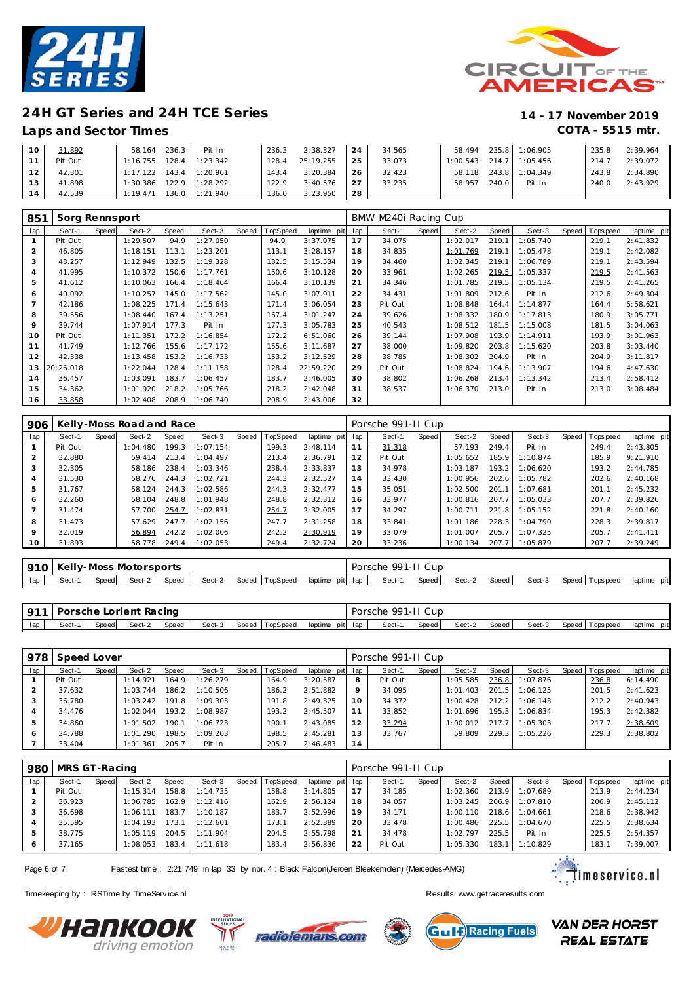



### **Laps and Sector Times COTA - 5515 mtr.**

| 10              | 31.892     | 58.164 236.3                | Pit In                      | 236.3 | $2:38.327$ 24   |     | 34.565 | 58.494 |       | 235.8 1:06.905            | 235.8 | 2:39.964       |
|-----------------|------------|-----------------------------|-----------------------------|-------|-----------------|-----|--------|--------|-------|---------------------------|-------|----------------|
|                 | 11 Pit Out |                             | $1:16.755$ $128.4$ 1:23.342 |       | 128.4 25:19.255 | 125 | 33.073 |        |       | $1:00.543$ 214.7 1:05.456 |       | 214.7 2:39.072 |
| 12 <sub>1</sub> | 42.301     | $1:17.122$ $143.4$ 1:20.961 |                             | 143.4 | 3:20.384        | 126 | 32.423 | 58.118 |       | 243.8 1:04.349            | 243.8 | 2:34.890       |
| 13 <sup>1</sup> | 41.898     | 1:30.386                    | 122.9 1:28.292              | 122.9 | 3:40.576        | 27  | 33.235 | 58.957 | 240.0 | Pit In                    | 240.0 | 2:43.929       |
| <b>14</b>       | 42.539     | 1:19.471                    | 136.0 1:21.940              | 136.0 | 3:23.950        | 28  |        |        |       |                           |       |                |

| 851            | Sorg Rennsport |       |          |       |          |       |          |             |     | BMW M240i Racing Cup |       |          |       |          |                  |             |
|----------------|----------------|-------|----------|-------|----------|-------|----------|-------------|-----|----------------------|-------|----------|-------|----------|------------------|-------------|
| lap            | Sect-1         | Speed | Sect-2   | Speed | Sect-3   | Speed | TopSpeed | laptime pit | lap | Sect-1               | Speed | Sect-2   | Speed | Sect-3   | Speed   Topspeed | laptime pit |
|                | Pit Out        |       | 1:29.507 | 94.9  | : 27.050 |       | 94.9     | 3:37.975    | 17  | 34.075               |       | 1:02.017 | 219.1 | 1:05.740 | 219.1            | 2:41.832    |
| $\overline{2}$ | 46.805         |       | 1:18.151 | 113.1 | 1:23.201 |       | 113.1    | 3:28.157    | 18  | 34.835               |       | 1:01.769 | 219.1 | 1:05.478 | 219.1            | 2:42.082    |
| 3              | 43.257         |       | 1:12.949 | 132.5 | 1:19.328 |       | 132.5    | 3:15.534    | 19  | 34.460               |       | 1:02.345 | 219.1 | 1:06.789 | 219.1            | 2:43.594    |
| 4              | 41.995         |       | 1:10.372 | 150.6 | 1:17.761 |       | 150.6    | 3:10.128    | 20  | 33.961               |       | 1:02.265 | 219.5 | 1:05.337 | 219.5            | 2:41.563    |
| 5              | 41.612         |       | 1:10.063 | 166.4 | 1:18.464 |       | 166.4    | 3:10.139    | 21  | 34.346               |       | 1:01.785 | 219.5 | 1:05.134 | 219.5            | 2:41.265    |
| 6              | 40.092         |       | 1:10.257 | 145.0 | 1:17.562 |       | 145.0    | 3:07.911    | 22  | 34.431               |       | 1:01.809 | 212.6 | Pit In   | 212.6            | 2:49.304    |
|                | 42.186         |       | 1:08.225 | 171.4 | 1:15.643 |       | 171.4    | 3:06.054    | 23  | Pit Out              |       | 1:08.848 | 164.4 | 1:14.877 | 164.4            | 5:58.621    |
| 8              | 39.556         |       | 1:08.440 | 167.4 | 1:13.251 |       | 167.4    | 3:01.247    | 24  | 39.626               |       | 1:08.332 | 180.9 | 1:17.813 | 180.9            | 3:05.771    |
| 9              | 39.744         |       | 1:07.914 | 177.3 | Pit In   |       | 177.3    | 3:05.783    | 25  | 40.543               |       | 1:08.512 | 181.5 | 1:15.008 | 181.5            | 3:04.063    |
| 10             | Pit Out        |       | 1:11.351 | 172.2 | 1:16.854 |       | 172.2    | 6:51.060    | 26  | 39.144               |       | 1:07.908 | 193.9 | 1:14.911 | 193.9            | 3:01.963    |
| 11             | 41.749         |       | 1:12.766 | 155.6 | 1:17.172 |       | 155.6    | 3:11.687    | 27  | 38.000               |       | 1:09.820 | 203.8 | 1:15.620 | 203.8            | 3:03.440    |
| 12             | 42.338         |       | 1:13.458 | 153.2 | 1:16.733 |       | 153.2    | 3:12.529    | 28  | 38.785               |       | 1:08.302 | 204.9 | Pit In   | 204.9            | 3:11.817    |
| 13             | 20:26.018      |       | 1:22.044 | 128.4 | 1:11.158 |       | 128.4    | 22:59.220   | 29  | Pit Out              |       | 1:08.824 | 194.6 | 1:13.907 | 194.6            | 4:47.630    |
| 14             | 36.457         |       | 1:03.091 | 183.7 | 1:06.457 |       | 183.7    | 2:46.005    | 30  | 38.802               |       | 1:06.268 | 213.4 | 1:13.342 | 213.4            | 2:58.412    |
| 15             | 34.362         |       | 1:01.920 | 218.2 | 1:05.766 |       | 218.2    | 2:42.048    | 31  | 38.537               |       | 1:06.370 | 213.0 | Pit In   | 213.0            | 3:08.484    |
| 16             | 33.858         |       | 1:02.408 | 208.9 | 1:06.740 |       | 208.9    | 2:43.006    | 32  |                      |       |          |       |          |                  |             |

| 906             |         |       | Kelly-Moss Road and Race |       |          |       |          |             |     | Porsche 991-II Cup |       |          |       |          |                |             |
|-----------------|---------|-------|--------------------------|-------|----------|-------|----------|-------------|-----|--------------------|-------|----------|-------|----------|----------------|-------------|
| lap             | Sect-1  | Speed | Sect-2                   | Speed | Sect-3   | Speed | TopSpeed | laptime pit | lap | Sect-1             | Speed | Sect-2   | Speed | Sect-3   | Speed Topspeed | laptime pit |
|                 | Pit Out |       | 1:04.480                 | 199.3 | 1:07.154 |       | 199.3    | 2:48.114    | 11  | 31.318             |       | 57.193   | 249.4 | Pit In   | 249.4          | 2:43.805    |
|                 | 32.880  |       | 59.414                   | 213.4 | 1:04.497 |       | 213.4    | 2:36.791    | 12  | Pit Out            |       | 1:05.652 | 185.9 | 1:10.874 | 185.9          | 9:21.910    |
| 3               | 32.305  |       | 58.186                   | 238.4 | 1:03.346 |       | 238.4    | 2:33.837    | 13  | 34.978             |       | 1:03.187 | 193.2 | 1:06.620 | 193.2          | 2:44.785    |
| 4               | 31.530  |       | 58.276                   | 244.3 | 1:02.721 |       | 244.3    | 2:32.527    | 14  | 33.430             |       | 1:00.956 | 202.6 | 1:05.782 | 202.6          | 2:40.168    |
| 5               | 31.767  |       | 58.124                   | 244.3 | 1:02.586 |       | 244.3    | 2:32.477    | 15  | 35.051             |       | 1:02.500 | 201.1 | 1:07.681 | 201.1          | 2:45.232    |
| 6               | 32.260  |       | 58.104                   | 248.8 | 1:01.948 |       | 248.8    | 2:32.312    | 16  | 33.977             |       | 1:00.816 | 207.7 | 1:05.033 | 207.7          | 2:39.826    |
|                 | 31.474  |       | 57.700                   | 254.7 | 1:02.831 |       | 254.7    | 2:32.005    | 17  | 34.297             |       | 1:00.711 | 221.8 | 1:05.152 | 221.8          | 2:40.160    |
| 8               | 31.473  |       | 57.629                   | 247.7 | 1:02.156 |       | 247.7    | 2:31.258    | 18  | 33.841             |       | 1:01.186 | 228.3 | 1:04.790 | 228.3          | 2:39.817    |
| 9               | 32.019  |       | 56.894                   | 242.2 | 1:02.006 |       | 242.2    | 2:30.919    | 19  | 33.079             |       | 1:01.007 | 205.7 | 1:07.325 | 205.7          | 2: 41.411   |
| 10 <sup>°</sup> | 31.893  |       | 58.778                   | 249.4 | 1:02.053 |       | 249.4    | 2:32.724    | 20  | 33.236             |       | 1:00.134 | 207.7 | 1:05.879 | 207.7          | 2:39.249    |

|     |       |       | 910   Kelly-Moss Motorsports |       |        |                |                   | Porsche 991-11 Cup |       |        |         |        |                 |             |
|-----|-------|-------|------------------------------|-------|--------|----------------|-------------------|--------------------|-------|--------|---------|--------|-----------------|-------------|
| lap | Sect- | Speed | Sect-2                       | Speed | Sect-3 | Speed TopSpeed | laptime pit lap l | Sect-1             | Speed | Sect-2 | Speed I | Sect-3 | Speed Tops peed | laptime pit |

|     | 911   Porsche Lorient Racing |       |        |       |        |                |                 | Porsche 991-II Cup |       |        |         |        |                   |             |
|-----|------------------------------|-------|--------|-------|--------|----------------|-----------------|--------------------|-------|--------|---------|--------|-------------------|-------------|
| lap | Sect-1                       | Speed | Sect-2 | Speed | Sect-3 | Speed TopSpeed | laptime pit lap | Sect-1             | Speed | Sect-2 | Speed I | Sect-3 | Speed   Tops peed | laptime pit |

| 978 | Speed Lover |       |          |       |          |                |                 |         | Porsche 991-II Cup |       |          |                   |          |                 |             |
|-----|-------------|-------|----------|-------|----------|----------------|-----------------|---------|--------------------|-------|----------|-------------------|----------|-----------------|-------------|
| lap | Sect-1      | Speed | Sect-2   | Speed | Sect-3   | Speed TopSpeed | laptime pit lap |         | Sect-1             | Speed | Sect-2   | Speed             | Sect-3   | Speed Tops peed | laptime pit |
|     | Pit Out     |       | 1:14.921 | 164.9 | 1:26.279 | 164.9          | 3:20.587        | 8       | Pit Out            |       | 1:05.585 | 236.8             | 1:07.876 | 236.8           | 6:14.490    |
|     | 37.632      |       | 1:03.744 | 186.2 | 1:10.506 | 186.2          | 2:51.882        | $\circ$ | 34.095             |       | 1:01.403 | 201.5             | 1:06.125 | 201.5           | 2:41.623    |
|     | 36.780      |       | 1:03.242 | 191.8 | 1:09.303 | 191.8          | 2:49.325        | 10      | 34.372             |       | 1:00.428 | 212.2             | 1:06.143 | 212.2           | 2:40.943    |
|     | 34.476      |       | 1:02.044 | 193.2 | 1:08.987 | 193.2          | 2:45.507        |         | 33.852             |       | 1:01.696 | $195.3 \text{ l}$ | 1:06.834 | 195.3           | 2:42.382    |
| 5   | 34.860      |       | 1:01.502 | 190.1 | 1:06.723 | 190.1          | 2:43.085        | 12      | 33.294             |       | 1:00.012 | 217.7             | 1:05.303 | 217.7           | 2:38.609    |
| 6   | 34.788      |       | 1:01.290 | 198.5 | 1:09.203 | 198.5          | 2:45.281        | 13      | 33.767             |       | 59.809   | 229.3             | 1:05.226 | 229.3           | 2:38.802    |
|     | 33.404      |       | 1:01.361 | 205.7 | Pit In   | 205.7          | 2:46.483        | 14      |                    |       |          |                   |          |                 |             |

|     | 980   MRS GT-Racing |       |          |       |                  |                |                 |    | Porsche 991-11 Cup |       |          |       |          |                |             |
|-----|---------------------|-------|----------|-------|------------------|----------------|-----------------|----|--------------------|-------|----------|-------|----------|----------------|-------------|
| lap | Sect-1              | Speed | Sect-2   | Speed | Sect-3           | Speed TopSpeed | laptime pit lap |    | Sect-1             | Speed | Sect-2   | Speed | Sect-3   | Speed Topspeed | laptime pit |
|     | Pit Out             |       | 1:15.314 |       | 158.8 1:14.735   | 158.8          | 3:14.805        | 17 | 34.185             |       | 1:02.360 | 213.9 | 1:07.689 | 213.9          | 2:44.234    |
|     | 36.923              |       | 1:06.785 |       | $162.9$ 1:12.416 | 162.9          | 2:56.124        | 18 | 34.057             |       | 1:03.245 | 206.9 | 1:07.810 | 206.9          | 2:45.112    |
| 3   | 36.698              |       | 1:06.111 |       | 183.7 1:10.187   | 183.7          | 2:52.996        | 19 | 34.171             |       | 1:00.110 | 218.6 | 1:04.661 | 218.6          | 2:38.942    |
|     | 35.595              |       | 1:04.193 | 173.1 | 1:12.601         | 173.1          | 2:52.389        | 20 | 33.478             |       | 1:00.486 | 225.5 | 1:04.670 | 225.5          | 2:38.634    |
| 5   | 38.775              |       | 1:05.119 |       | 204.5 1:11.904   | 204.5          | 2:55.798        | 21 | 34.478             |       | 1:02.797 | 225.5 | Pit In   | 225.5          | 2:54.357    |
| 6   | 37.165              |       | 1:08.053 |       | 183.4 1:11.618   | 183.4          | 2:56.836        | 22 | Pit Out            |       | 1:05.330 | 183.1 | 1:10.829 | 183.1          | 7:39.007    |

Page 6 of 7 Fastest time : 2:21.749 in lap 33 by nbr. 4 : Black Falcon(Jeroen Bleekemolen) (Mercedes-AMG)

Timekeeping by : RSTime by TimeServ ice.nl **Results:** Wesults:<www.getraceresults.com>







 $\ddot{\ddot{\cdot}}$   $\ddot{\ddot{\cdot}}$  imeservice.nl

**VAN DER HORST REAL ESTATE**